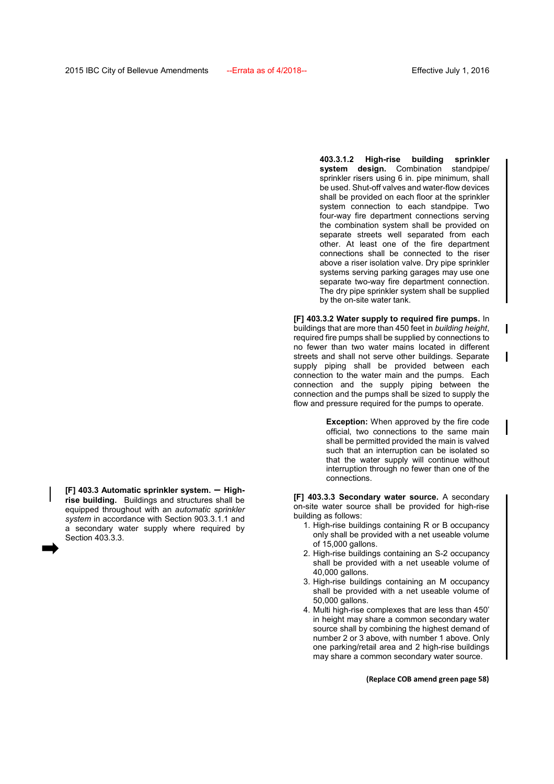$\mathsf{I}$ 

**403.3.1.2 High-rise building sprinkler system design.** Combination standpipe/ sprinkler risers using 6 in. pipe minimum, shall be used. Shut-off valves and water-flow devices shall be provided on each floor at the sprinkler system connection to each standpipe. Two four-way fire department connections serving the combination system shall be provided on separate streets well separated from each other. At least one of the fire department connections shall be connected to the riser above a riser isolation valve. Dry pipe sprinkler systems serving parking garages may use one separate two-way fire department connection. The dry pipe sprinkler system shall be supplied by the on-site water tank.

**[F] 403.3.2 Water supply to required fire pumps.** In buildings that are more than 450 feet in *building height*, required fire pumps shall be supplied by connections to no fewer than two water mains located in different streets and shall not serve other buildings. Separate supply piping shall be provided between each connection to the water main and the pumps. Each connection and the supply piping between the connection and the pumps shall be sized to supply the flow and pressure required for the pumps to operate.

> **Exception:** When approved by the fire code official, two connections to the same main shall be permitted provided the main is valved such that an interruption can be isolated so that the water supply will continue without interruption through no fewer than one of the connections.

**[F] 403.3.3 Secondary water source.** A secondary on-site water source shall be provided for high-rise building as follows:

- 1. High-rise buildings containing R or B occupancy only shall be provided with a net useable volume of 15,000 gallons.
- 2. High-rise buildings containing an S-2 occupancy shall be provided with a net useable volume of 40,000 gallons.
- 3. High-rise buildings containing an M occupancy shall be provided with a net useable volume of 50,000 gallons.
- 4. Multi high-rise complexes that are less than 450' in height may share a common secondary water source shall by combining the highest demand of number 2 or 3 above, with number 1 above. Only one parking/retail area and 2 high-rise buildings may share a common secondary water source.

**(Replace COB amend green page 58)**

**[F] 403.3 Automatic sprinkler system. – Highrise building.** Buildings and structures shall be equipped throughout with an *automatic sprinkler system* in accordance with Section 903.3.1.1 and a secondary water supply where required by Section 403.3.3.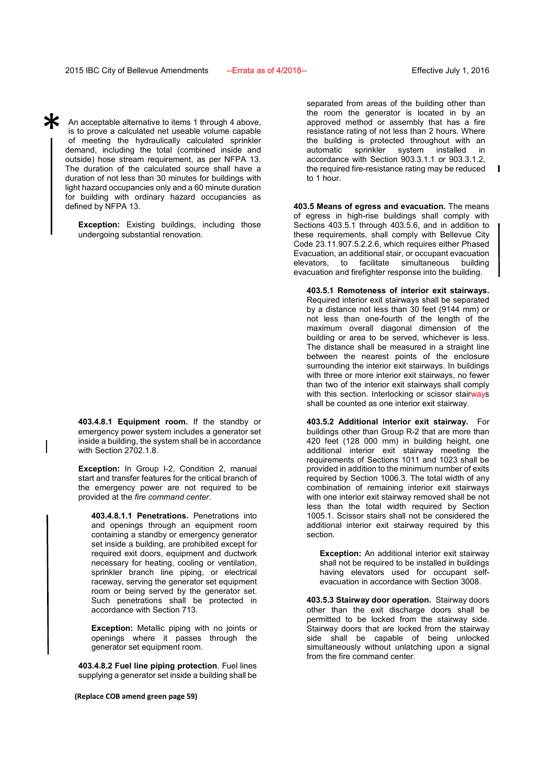$\mathbf{I}$ 

An acceptable alternative to items 1 through 4 above, is to prove a calculated net useable volume capable of meeting the hydraulically calculated sprinkler demand, including the total (combined inside and outside) hose stream requirement, as per NFPA 13. The duration of the calculated source shall have a duration of not less than 30 minutes for buildings with light hazard occupancies only and a 60 minute duration for building with ordinary hazard occupancies as defined by NFPA 13. \*

> **Exception:** Existing buildings, including those undergoing substantial renovation.

> **403.4.8.1 Equipment room.** If the standby or emergency power system includes a generator set inside a building, the system shall be in accordance with Section 2702.1.8.

**Exception:** In Group I-2, Condition 2, manual start and transfer features for the critical branch of the emergency power are not required to be provided at the *fire command center*.

**403.4.8.1.1 Penetrations.** Penetrations into and openings through an equipment room containing a standby or emergency generator set inside a building, are prohibited except for required exit doors, equipment and ductwork necessary for heating, cooling or ventilation, sprinkler branch line piping, or electrical raceway, serving the generator set equipment room or being served by the generator set. Such penetrations shall be protected in accordance with Section 713.

**Exception:** Metallic piping with no joints or openings where it passes through the generator set equipment room.

**403.4.8.2 Fuel line piping protection**. Fuel lines supplying a generator set inside a building shall be

**(Replace COB amend green page 59)**

separated from areas of the building other than the room the generator is located in by an approved method or assembly that has a fire resistance rating of not less than 2 hours. Where the building is protected throughout with an automatic sprinkler system installed in sprinkler system installed in accordance with Section 903.3.1.1 or 903.3.1.2, the required fire-resistance rating may be reduced to 1 hour.

**403.5 Means of egress and evacuation.** The means of egress in high-rise buildings shall comply with Sections 403.5.1 through 403.5.6, and in addition to these requirements, shall comply with Bellevue City Code 23.11.907.5.2.2.6, which requires either Phased Evacuation, an additional stair, or occupant evacuation elevators, to facilitate simultaneous building evacuation and firefighter response into the building.

**403.5.1 Remoteness of interior exit stairways.** Required interior exit stairways shall be separated by a distance not less than 30 feet (9144 mm) or not less than one-fourth of the length of the maximum overall diagonal dimension of the building or area to be served, whichever is less. The distance shall be measured in a straight line between the nearest points of the enclosure surrounding the interior exit stairways. In buildings with three or more interior exit stairways, no fewer than two of the interior exit stairways shall comply with this section. Interlocking or scissor stairways shall be counted as one interior exit stairway.

**403.5.2 Additional interior exit stairway.** For buildings other than Group R-2 that are more than 420 feet (128 000 mm) in building height, one additional interior exit stairway meeting the requirements of Sections 1011 and 1023 shall be provided in addition to the minimum number of exits required by Section 1006.3. The total width of any combination of remaining interior exit stairways with one interior exit stairway removed shall be not less than the total width required by Section 1005.1. Scissor stairs shall not be considered the additional interior exit stairway required by this section.

**Exception:** An additional interior exit stairway shall not be required to be installed in buildings having elevators used for occupant selfevacuation in accordance with Section 3008.

**403.5.3 Stairway door operation.** Stairway doors other than the exit discharge doors shall be permitted to be locked from the stairway side. Stairway doors that are locked from the stairway side shall be capable of being unlocked simultaneously without unlatching upon a signal from the fire command center.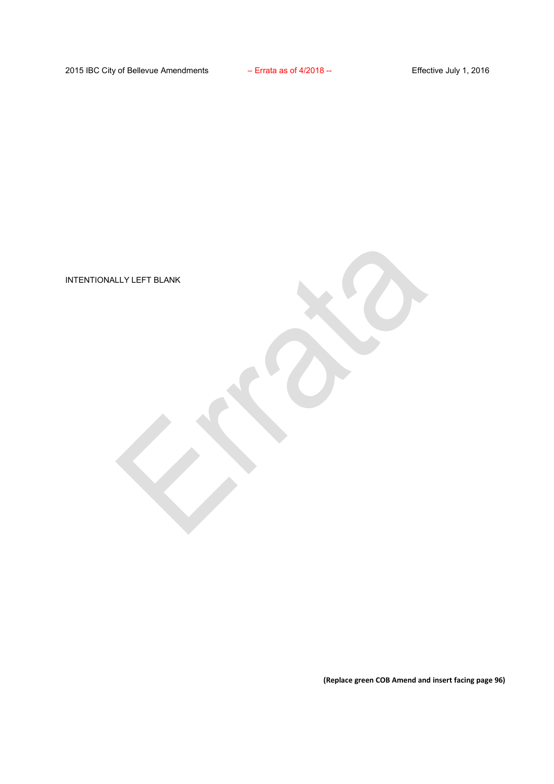2015 IBC City of Bellevue Amendments – Errata as of 4/2018 -- France Effective July 1, 2016

INTENTIONALLY LEFT BLANK

**(Replace green COB Amend and insert facing page 96)**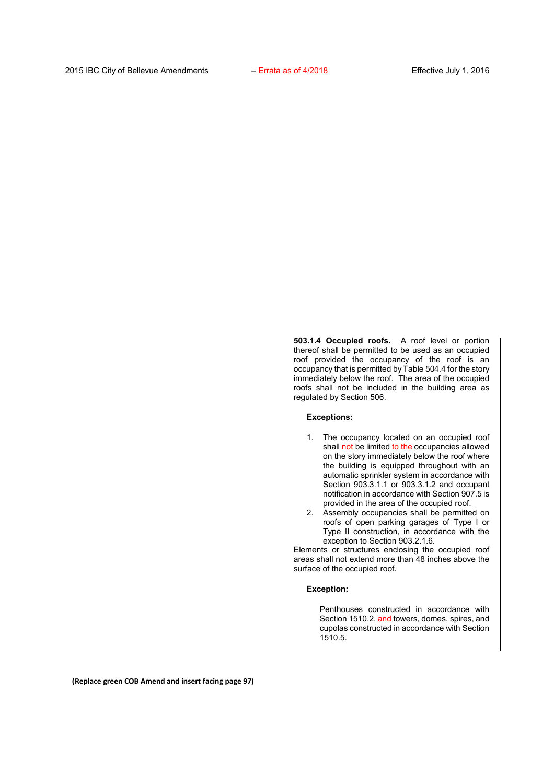**503.1.4 Occupied roofs.** A roof level or portion thereof shall be permitted to be used as an occupied roof provided the occupancy of the roof is an occupancy that is permitted by Table 504.4 for the story immediately below the roof. The area of the occupied roofs shall not be included in the building area as regulated by Section 506.

#### **Exceptions:**

- 1. The occupancy located on an occupied roof shall not be limited to the occupancies allowed on the story immediately below the roof where the building is equipped throughout with an automatic sprinkler system in accordance with Section 903.3.1.1 or 903.3.1.2 and occupant notification in accordance with Section 907.5 is provided in the area of the occupied roof.
- 2. Assembly occupancies shall be permitted on roofs of open parking garages of Type I or Type II construction, in accordance with the exception to Section 903.2.1.6.

Elements or structures enclosing the occupied roof areas shall not extend more than 48 inches above the surface of the occupied roof.

## **Exception:**

Penthouses constructed in accordance with Section 1510.2, and towers, domes, spires, and cupolas constructed in accordance with Section 1510.5.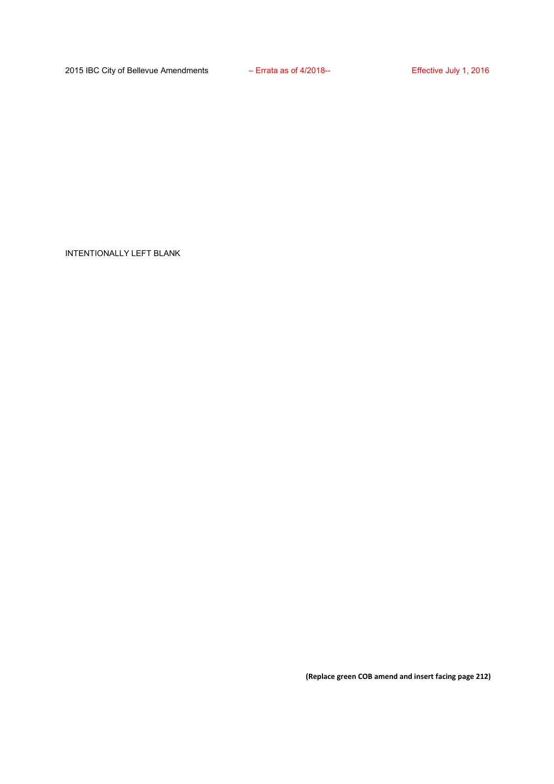2015 IBC City of Bellevue Amendments – Errata as of 4/2018-- Effective July 1, 2016

INTENTIONALLY LEFT BLANK

**(Replace green COB amend and insert facing page 212)**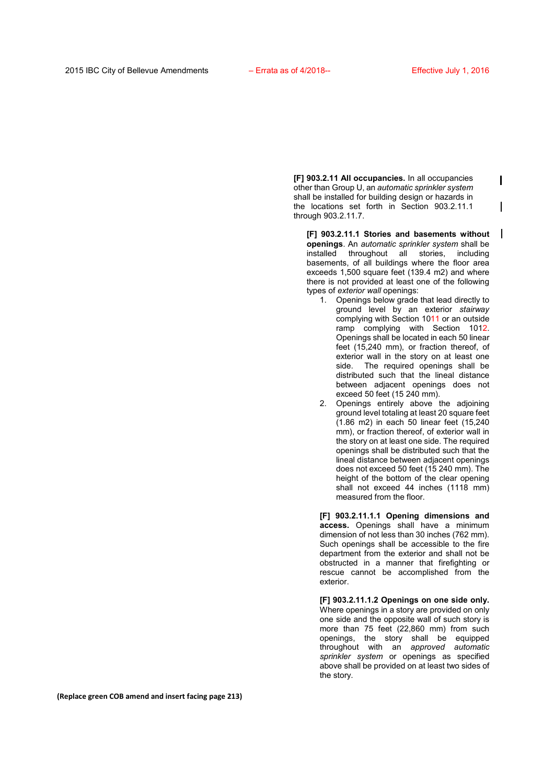**[F] 903.2.11 All occupancies.** In all occupancies  $\blacksquare$ other than Group U, an *automatic sprinkler system* shall be installed for building design or hazards in the locations set forth in Section 903.2.11.1 I through 903.2.11.7.

**[F] 903.2.11.1 Stories and basements without openings**. An *automatic sprinkler system* shall be installed throughout all stories, including basements, of all buildings where the floor area exceeds 1,500 square feet (139.4 m2) and where there is not provided at least one of the following types of *exterior wall* openings:

- 1. Openings below grade that lead directly to ground level by an exterior *stairway* complying with Section 1011 or an outside ramp complying with Section 1012. Openings shall be located in each 50 linear feet (15,240 mm), or fraction thereof, of exterior wall in the story on at least one side. The required openings shall be distributed such that the lineal distance between adjacent openings does not exceed 50 feet (15 240 mm).
- 2. Openings entirely above the adjoining ground level totaling at least 20 square feet (1.86 m2) in each 50 linear feet (15,240 mm), or fraction thereof, of exterior wall in the story on at least one side. The required openings shall be distributed such that the lineal distance between adjacent openings does not exceed 50 feet (15 240 mm). The height of the bottom of the clear opening shall not exceed 44 inches (1118 mm) measured from the floor.

**[F] 903.2.11.1.1 Opening dimensions and access.** Openings shall have a minimum dimension of not less than 30 inches (762 mm). Such openings shall be accessible to the fire department from the exterior and shall not be obstructed in a manner that firefighting or rescue cannot be accomplished from the exterior.

**[F] 903.2.11.1.2 Openings on one side only.** Where openings in a story are provided on only one side and the opposite wall of such story is more than 75 feet (22,860 mm) from such openings, the story shall be equipped throughout with an *approved automatic sprinkler system* or openings as specified above shall be provided on at least two sides of the story.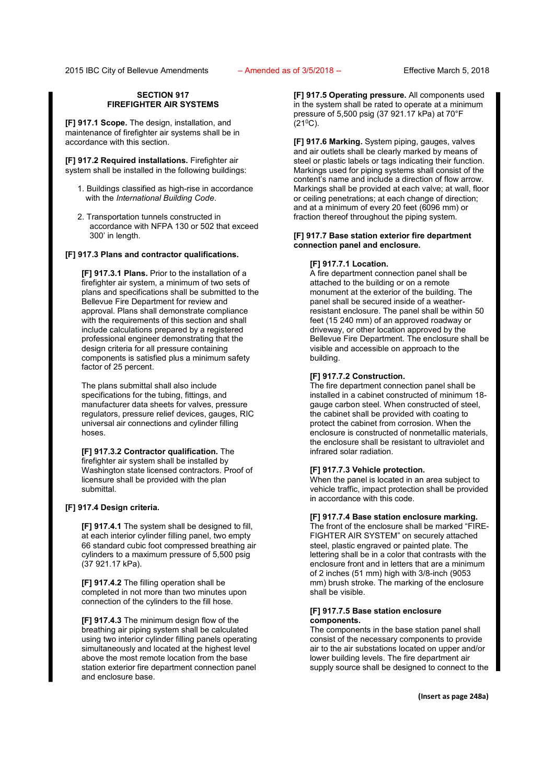#### **SECTION 917 FIREFIGHTER AIR SYSTEMS**

**[F] 917.1 Scope.** The design, installation, and maintenance of firefighter air systems shall be in accordance with this section.

**[F] 917.2 Required installations.** Firefighter air system shall be installed in the following buildings:

- 1. Buildings classified as high-rise in accordance with the *International Building Code*.
- 2. Transportation tunnels constructed in accordance with NFPA 130 or 502 that exceed 300' in length.

#### **[F] 917.3 Plans and contractor qualifications.**

**[F] 917.3.1 Plans.** Prior to the installation of a firefighter air system, a minimum of two sets of plans and specifications shall be submitted to the Bellevue Fire Department for review and approval. Plans shall demonstrate compliance with the requirements of this section and shall include calculations prepared by a registered professional engineer demonstrating that the design criteria for all pressure containing components is satisfied plus a minimum safety factor of 25 percent.

The plans submittal shall also include specifications for the tubing, fittings, and manufacturer data sheets for valves, pressure regulators, pressure relief devices, gauges, RIC universal air connections and cylinder filling hoses.

**[F] 917.3.2 Contractor qualification.** The firefighter air system shall be installed by Washington state licensed contractors. Proof of licensure shall be provided with the plan submittal.

# **[F] 917.4 Design criteria.**

**[F] 917.4.1** The system shall be designed to fill, at each interior cylinder filling panel, two empty 66 standard cubic foot compressed breathing air cylinders to a maximum pressure of 5,500 psig (37 921.17 kPa).

**[F] 917.4.2** The filling operation shall be completed in not more than two minutes upon connection of the cylinders to the fill hose.

**IF1 917.4.3** The minimum design flow of the breathing air piping system shall be calculated using two interior cylinder filling panels operating simultaneously and located at the highest level above the most remote location from the base station exterior fire department connection panel and enclosure base.

**[F] 917.5 Operating pressure.** All components used in the system shall be rated to operate at a minimum pressure of 5,500 psig (37 921.17 kPa) at 70°F  $(21^0C)$ .

**[F] 917.6 Marking.** System piping, gauges, valves and air outlets shall be clearly marked by means of steel or plastic labels or tags indicating their function. Markings used for piping systems shall consist of the content's name and include a direction of flow arrow. Markings shall be provided at each valve; at wall, floor or ceiling penetrations; at each change of direction; and at a minimum of every 20 feet (6096 mm) or fraction thereof throughout the piping system.

### **[F] 917.7 Base station exterior fire department connection panel and enclosure.**

### **[F] 917.7.1 Location.**

A fire department connection panel shall be attached to the building or on a remote monument at the exterior of the building. The panel shall be secured inside of a weatherresistant enclosure. The panel shall be within 50 feet (15 240 mm) of an approved roadway or driveway, or other location approved by the Bellevue Fire Department. The enclosure shall be visible and accessible on approach to the building.

### **[F] 917.7.2 Construction.**

The fire department connection panel shall be installed in a cabinet constructed of minimum 18 gauge carbon steel. When constructed of steel, the cabinet shall be provided with coating to protect the cabinet from corrosion. When the enclosure is constructed of nonmetallic materials, the enclosure shall be resistant to ultraviolet and infrared solar radiation.

#### **[F] 917.7.3 Vehicle protection.**

When the panel is located in an area subject to vehicle traffic, impact protection shall be provided in accordance with this code.

#### **[F] 917.7.4 Base station enclosure marking.**

The front of the enclosure shall be marked "FIRE-FIGHTER AIR SYSTEM" on securely attached steel, plastic engraved or painted plate. The lettering shall be in a color that contrasts with the enclosure front and in letters that are a minimum of 2 inches (51 mm) high with 3/8-inch (9053 mm) brush stroke. The marking of the enclosure shall be visible.

### **[F] 917.7.5 Base station enclosure components.**

The components in the base station panel shall consist of the necessary components to provide air to the air substations located on upper and/or lower building levels. The fire department air supply source shall be designed to connect to the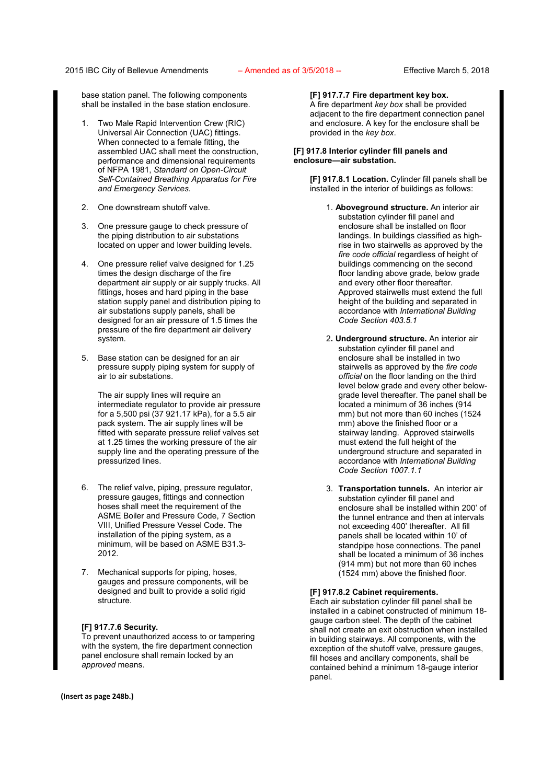base station panel. The following components shall be installed in the base station enclosure.

- Two Male Rapid Intervention Crew (RIC) Universal Air Connection (UAC) fittings. When connected to a female fitting, the assembled UAC shall meet the construction, performance and dimensional requirements of NFPA 1981, *Standard on Open-Circuit Self-Contained Breathing Apparatus for Fire and Emergency Services.*
- 2. One downstream shutoff valve.
- 3. One pressure gauge to check pressure of the piping distribution to air substations located on upper and lower building levels.
- 4. One pressure relief valve designed for 1.25 times the design discharge of the fire department air supply or air supply trucks. All fittings, hoses and hard piping in the base station supply panel and distribution piping to air substations supply panels, shall be designed for an air pressure of 1.5 times the pressure of the fire department air delivery system.
- 5. Base station can be designed for an air pressure supply piping system for supply of air to air substations.

The air supply lines will require an intermediate regulator to provide air pressure for a 5,500 psi (37 921.17 kPa), for a 5.5 air pack system. The air supply lines will be fitted with separate pressure relief valves set at 1.25 times the working pressure of the air supply line and the operating pressure of the pressurized lines.

- 6. The relief valve, piping, pressure regulator, pressure gauges, fittings and connection hoses shall meet the requirement of the ASME Boiler and Pressure Code, 7 Section VIII, Unified Pressure Vessel Code. The installation of the piping system, as a minimum, will be based on ASME B31.3- 2012.
- 7. Mechanical supports for piping, hoses, gauges and pressure components, will be designed and built to provide a solid rigid structure.

#### **[F] 917.7.6 Security.**

To prevent unauthorized access to or tampering with the system, the fire department connection panel enclosure shall remain locked by an *approved* means.

# **[F] 917.7.7 Fire department key box.**

A fire department *key box* shall be provided adjacent to the fire department connection panel and enclosure. A key for the enclosure shall be provided in the *key box*.

#### **[F] 917.8 Interior cylinder fill panels and enclosure—air substation.**

**[F] 917.8.1 Location.** Cylinder fill panels shall be installed in the interior of buildings as follows:

- 1. **Aboveground structure.** An interior air substation cylinder fill panel and enclosure shall be installed on floor landings. In buildings classified as highrise in two stairwells as approved by the *fire code official* regardless of height of buildings commencing on the second floor landing above grade, below grade and every other floor thereafter. Approved stairwells must extend the full height of the building and separated in accordance with *International Building Code Section 403.5.1*
- 2**. Underground structure.** An interior air substation cylinder fill panel and enclosure shall be installed in two stairwells as approved by the *fire code official* on the floor landing on the third level below grade and every other belowgrade level thereafter. The panel shall be located a minimum of 36 inches (914 mm) but not more than 60 inches (1524 mm) above the finished floor or a stairway landing. Approved stairwells must extend the full height of the underground structure and separated in accordance with *International Building Code Section 1007.1.1*
- 3. **Transportation tunnels.** An interior air substation cylinder fill panel and enclosure shall be installed within 200' of the tunnel entrance and then at intervals not exceeding 400' thereafter. All fill panels shall be located within 10' of standpipe hose connections. The panel shall be located a minimum of 36 inches (914 mm) but not more than 60 inches (1524 mm) above the finished floor.

### **[F] 917.8.2 Cabinet requirements.**

Each air substation cylinder fill panel shall be installed in a cabinet constructed of minimum 18 gauge carbon steel. The depth of the cabinet shall not create an exit obstruction when installed in building stairways. All components, with the exception of the shutoff valve, pressure gauges, fill hoses and ancillary components, shall be contained behind a minimum 18-gauge interior panel.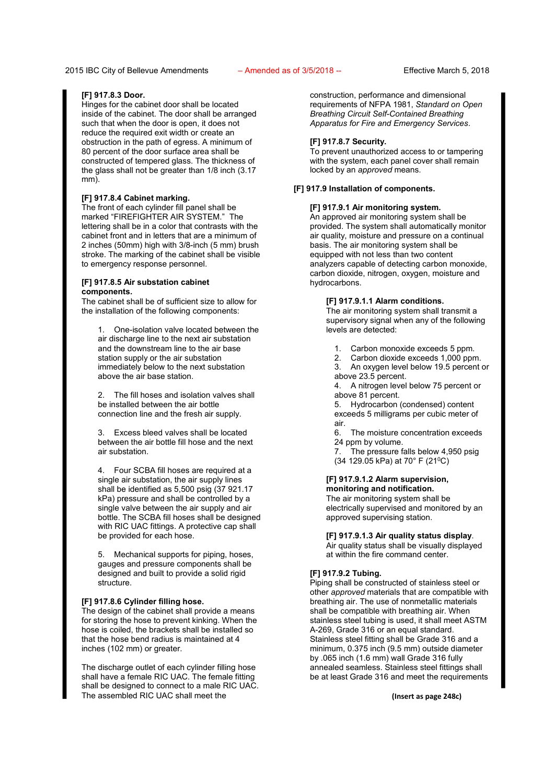## **[F] 917.8.3 Door.**

Hinges for the cabinet door shall be located inside of the cabinet. The door shall be arranged such that when the door is open, it does not reduce the required exit width or create an obstruction in the path of egress. A minimum of 80 percent of the door surface area shall be constructed of tempered glass. The thickness of the glass shall not be greater than 1/8 inch (3.17 mm).

#### **[F] 917.8.4 Cabinet marking.**

The front of each cylinder fill panel shall be marked "FIREFIGHTER AIR SYSTEM." The lettering shall be in a color that contrasts with the cabinet front and in letters that are a minimum of 2 inches (50mm) high with 3/8-inch (5 mm) brush stroke. The marking of the cabinet shall be visible to emergency response personnel.

## **[F] 917.8.5 Air substation cabinet components.**

The cabinet shall be of sufficient size to allow for the installation of the following components:

1. One-isolation valve located between the air discharge line to the next air substation and the downstream line to the air base station supply or the air substation immediately below to the next substation above the air base station.

2. The fill hoses and isolation valves shall be installed between the air bottle connection line and the fresh air supply.

3. Excess bleed valves shall be located between the air bottle fill hose and the next air substation.

4. Four SCBA fill hoses are required at a single air substation, the air supply lines shall be identified as 5,500 psig (37 921.17 kPa) pressure and shall be controlled by a single valve between the air supply and air bottle. The SCBA fill hoses shall be designed with RIC UAC fittings. A protective cap shall be provided for each hose.

5. Mechanical supports for piping, hoses, gauges and pressure components shall be designed and built to provide a solid rigid structure.

# **[F] 917.8.6 Cylinder filling hose.**

The design of the cabinet shall provide a means for storing the hose to prevent kinking. When the hose is coiled, the brackets shall be installed so that the hose bend radius is maintained at 4 inches (102 mm) or greater.

The discharge outlet of each cylinder filling hose shall have a female RIC UAC. The female fitting shall be designed to connect to a male RIC UAC. The assembled RIC UAC shall meet the

construction, performance and dimensional requirements of NFPA 1981, *Standard on Open Breathing Circuit Self-Contained Breathing Apparatus for Fire and Emergency Services*.

### **[F] 917.8.7 Security.**

To prevent unauthorized access to or tampering with the system, each panel cover shall remain locked by an *approved* means.

### **[F] 917.9 Installation of components.**

### **[F] 917.9.1 Air monitoring system.**

An approved air monitoring system shall be provided. The system shall automatically monitor air quality, moisture and pressure on a continual basis. The air monitoring system shall be equipped with not less than two content analyzers capable of detecting carbon monoxide, carbon dioxide, nitrogen, oxygen, moisture and hydrocarbons.

# **[F] 917.9.1.1 Alarm conditions.**

The air monitoring system shall transmit a supervisory signal when any of the following levels are detected:

- 1. Carbon monoxide exceeds 5 ppm.
- 2. Carbon dioxide exceeds 1,000 ppm.
	- 3. An oxygen level below 19.5 percent or above 23.5 percent.

4. A nitrogen level below 75 percent or above 81 percent.

5. Hydrocarbon (condensed) content exceeds 5 milligrams per cubic meter of air.

6. The moisture concentration exceeds 24 ppm by volume.

7. The pressure falls below 4,950 psig (34 129.05 kPa) at 70° F (21<sup>0</sup>C)

#### **[F] 917.9.1.2 Alarm supervision, monitoring and notification.**

The air monitoring system shall be electrically supervised and monitored by an approved supervising station.

#### **[F] 917.9.1.3 Air quality status display**.

Air quality status shall be visually displayed at within the fire command center.

### **[F] 917.9.2 Tubing.**

Piping shall be constructed of stainless steel or other *approved* materials that are compatible with breathing air. The use of nonmetallic materials shall be compatible with breathing air. When stainless steel tubing is used, it shall meet ASTM A-269, Grade 316 or an equal standard. Stainless steel fitting shall be Grade 316 and a minimum, 0.375 inch (9.5 mm) outside diameter by .065 inch (1.6 mm) wall Grade 316 fully annealed seamless. Stainless steel fittings shall be at least Grade 316 and meet the requirements

**(Insert as page 248c)**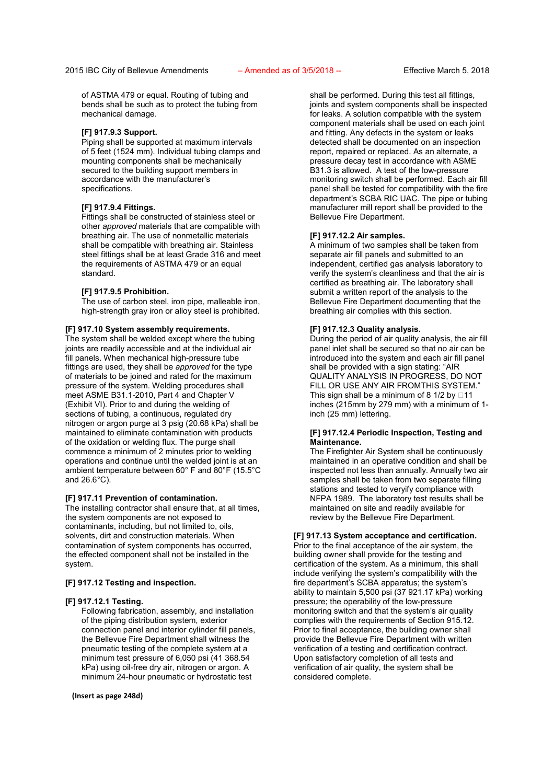of ASTMA 479 or equal. Routing of tubing and bends shall be such as to protect the tubing from mechanical damage.

### **[F] 917.9.3 Support.**

Piping shall be supported at maximum intervals of 5 feet (1524 mm). Individual tubing clamps and mounting components shall be mechanically secured to the building support members in accordance with the manufacturer's specifications.

### **[F] 917.9.4 Fittings.**

Fittings shall be constructed of stainless steel or other *approved* materials that are compatible with breathing air. The use of nonmetallic materials shall be compatible with breathing air. Stainless steel fittings shall be at least Grade 316 and meet the requirements of ASTMA 479 or an equal standard.

### **[F] 917.9.5 Prohibition.**

The use of carbon steel, iron pipe, malleable iron, high-strength gray iron or alloy steel is prohibited.

### **[F] 917.10 System assembly requirements.**

The system shall be welded except where the tubing joints are readily accessible and at the individual air fill panels. When mechanical high-pressure tube fittings are used, they shall be *approved* for the type of materials to be joined and rated for the maximum pressure of the system. Welding procedures shall meet ASME B31.1-2010. Part 4 and Chapter V (Exhibit VI). Prior to and during the welding of sections of tubing, a continuous, regulated dry nitrogen or argon purge at 3 psig (20.68 kPa) shall be maintained to eliminate contamination with products of the oxidation or welding flux. The purge shall commence a minimum of 2 minutes prior to welding operations and continue until the welded joint is at an ambient temperature between 60° F and 80°F (15.5°C and 26.6°C).

## **[F] 917.11 Prevention of contamination.**

The installing contractor shall ensure that, at all times, the system components are not exposed to contaminants, including, but not limited to, oils, solvents, dirt and construction materials. When contamination of system components has occurred, the effected component shall not be installed in the system.

#### **[F] 917.12 Testing and inspection.**

### **[F] 917.12.1 Testing.**

Following fabrication, assembly, and installation of the piping distribution system, exterior connection panel and interior cylinder fill panels, the Bellevue Fire Department shall witness the pneumatic testing of the complete system at a minimum test pressure of 6,050 psi (41 368.54 kPa) using oil-free dry air, nitrogen or argon. A minimum 24-hour pneumatic or hydrostatic test

**(Insert as page 248d)**

joints and system components shall be inspected for leaks. A solution compatible with the system component materials shall be used on each joint and fitting. Any defects in the system or leaks detected shall be documented on an inspection report, repaired or replaced. As an alternate, a pressure decay test in accordance with ASME B31.3 is allowed. A test of the low-pressure monitoring switch shall be performed. Each air fill panel shall be tested for compatibility with the fire department's SCBA RIC UAC. The pipe or tubing manufacturer mill report shall be provided to the Bellevue Fire Department.

## **[F] 917.12.2 Air samples.**

A minimum of two samples shall be taken from separate air fill panels and submitted to an independent, certified gas analysis laboratory to verify the system's cleanliness and that the air is certified as breathing air. The laboratory shall submit a written report of the analysis to the Bellevue Fire Department documenting that the breathing air complies with this section.

### **[F] 917.12.3 Quality analysis.**

During the period of air quality analysis, the air fill panel inlet shall be secured so that no air can be introduced into the system and each air fill panel shall be provided with a sign stating: "AIR QUALITY ANALYSIS IN PROGRESS, DO NOT FILL OR USE ANY AIR FROMTHIS SYSTEM." This sign shall be a minimum of 8 1/2 by  $\Box$ 11 inches (215mm by 279 mm) with a minimum of 1 inch (25 mm) lettering.

### **[F] 917.12.4 Periodic Inspection, Testing and Maintenance.**

The Firefighter Air System shall be continuously maintained in an operative condition and shall be inspected not less than annually. Annually two air samples shall be taken from two separate filling stations and tested to veryify compliance with NFPA 1989. The laboratory test results shall be maintained on site and readily available for review by the Bellevue Fire Department.

#### **[F] 917.13 System acceptance and certification.**

Prior to the final acceptance of the air system, the building owner shall provide for the testing and certification of the system. As a minimum, this shall include verifying the system's compatibility with the fire department's SCBA apparatus; the system's ability to maintain 5,500 psi (37 921.17 kPa) working pressure; the operability of the low-pressure monitoring switch and that the system's air quality complies with the requirements of Section 915.12. Prior to final acceptance, the building owner shall provide the Bellevue Fire Department with written verification of a testing and certification contract. Upon satisfactory completion of all tests and verification of air quality, the system shall be considered complete.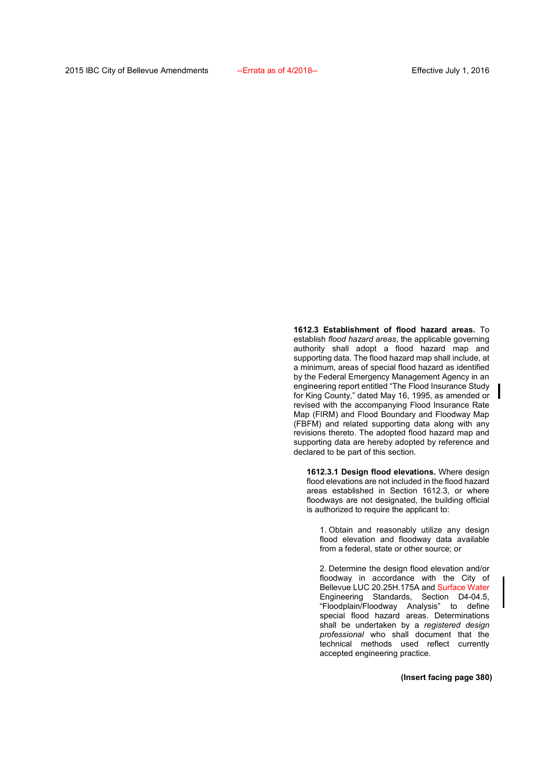**1612.3 Establishment of flood hazard areas.** To establish *flood hazard areas*, the applicable governing authority shall adopt a flood hazard map and supporting data. The flood hazard map shall include, at a minimum, areas of special flood hazard as identified by the Federal Emergency Management Agency in an engineering report entitled "The Flood Insurance Study for King County," dated May 16, 1995, as amended or revised with the accompanying Flood Insurance Rate Map (FIRM) and Flood Boundary and Floodway Map (FBFM) and related supporting data along with any revisions thereto. The adopted flood hazard map and supporting data are hereby adopted by reference and declared to be part of this section.

**1612.3.1 Design flood elevations.** Where design flood elevations are not included in the flood hazard areas established in Section 1612.3, or where floodways are not designated, the building official is authorized to require the applicant to:

1. Obtain and reasonably utilize any design flood elevation and floodway data available from a federal, state or other source; or

2. Determine the design flood elevation and/or floodway in accordance with the City of Bellevue LUC 20.25H.175A and Surface Water Engineering Standards, Section D4-04.5, "Floodplain/Floodway Analysis" to define special flood hazard areas. Determinations shall be undertaken by a *registered design professional* who shall document that the technical methods used reflect currently accepted engineering practice.

**(Insert facing page 380)**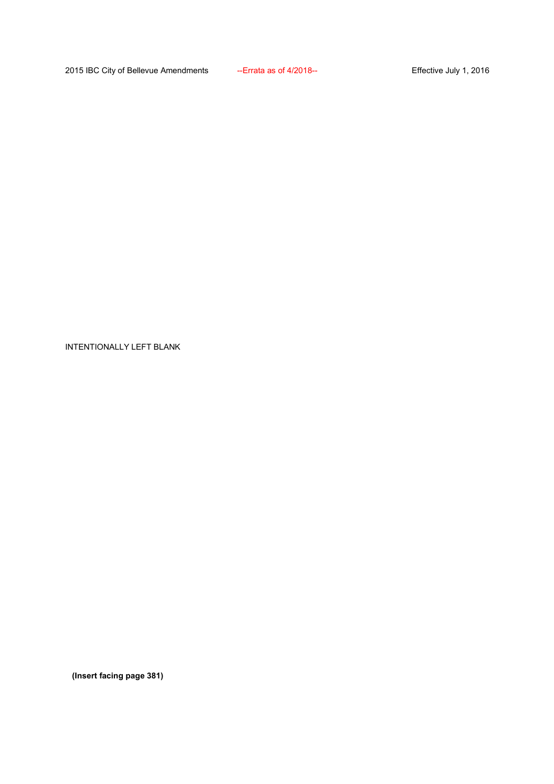2015 IBC City of Bellevue Amendments --Errata as of 4/2018--<br>
Effective July 1, 2016

INTENTIONALLY LEFT BLANK

**(Insert facing page 381)**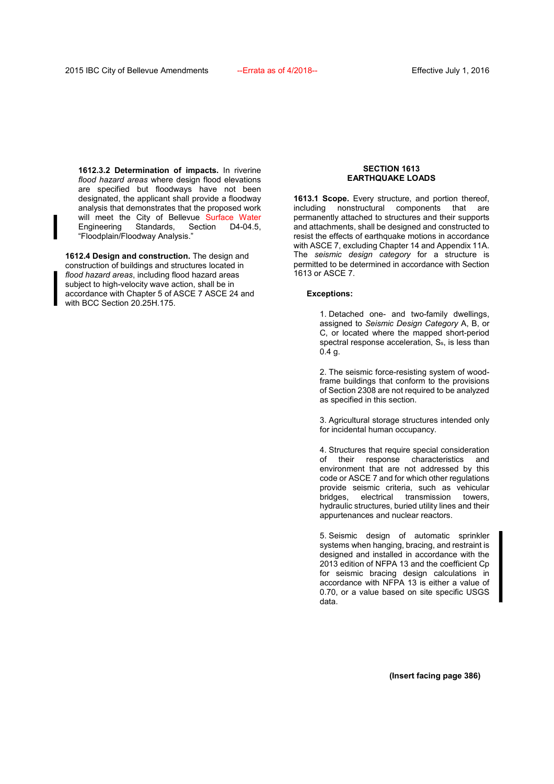**1612.3.2 Determination of impacts.** In riverine *flood hazard areas* where design flood elevations are specified but floodways have not been designated, the applicant shall provide a floodway analysis that demonstrates that the proposed work will meet the City of Bellevue Surface Water Engineering Standards, Section D4-04.5, "Floodplain/Floodway Analysis."

**1612.4 Design and construction.** The design and construction of buildings and structures located in *flood hazard areas*, including flood hazard areas subject to high-velocity wave action, shall be in accordance with Chapter 5 of ASCE 7 ASCE 24 and with BCC Section 20.25H.175.

#### **SECTION 1613 EARTHQUAKE LOADS**

**1613.1 Scope.** Every structure, and portion thereof, including nonstructural components that are permanently attached to structures and their supports and attachments, shall be designed and constructed to resist the effects of earthquake motions in accordance with ASCE 7, excluding Chapter 14 and Appendix 11A. The *seismic design category* for a structure is permitted to be determined in accordance with Section 1613 or ASCE 7.

#### **Exceptions:**

1. Detached one- and two-family dwellings, assigned to *Seismic Design Category* A, B, or C, or located where the mapped short-period spectral response acceleration. S<sub>s</sub>, is less than 0.4 g.

2. The seismic force-resisting system of woodframe buildings that conform to the provisions of Section 2308 are not required to be analyzed as specified in this section.

3. Agricultural storage structures intended only for incidental human occupancy.

4. Structures that require special consideration of their response characteristics and environment that are not addressed by this code or ASCE 7 and for which other regulations provide seismic criteria, such as vehicular bridges, electrical transmission towers, hydraulic structures, buried utility lines and their appurtenances and nuclear reactors.

5. Seismic design of automatic sprinkler systems when hanging, bracing, and restraint is designed and installed in accordance with the 2013 edition of NFPA 13 and the coefficient Cp for seismic bracing design calculations in accordance with NFPA 13 is either a value of 0.70, or a value based on site specific USGS data.

**(Insert facing page 386)**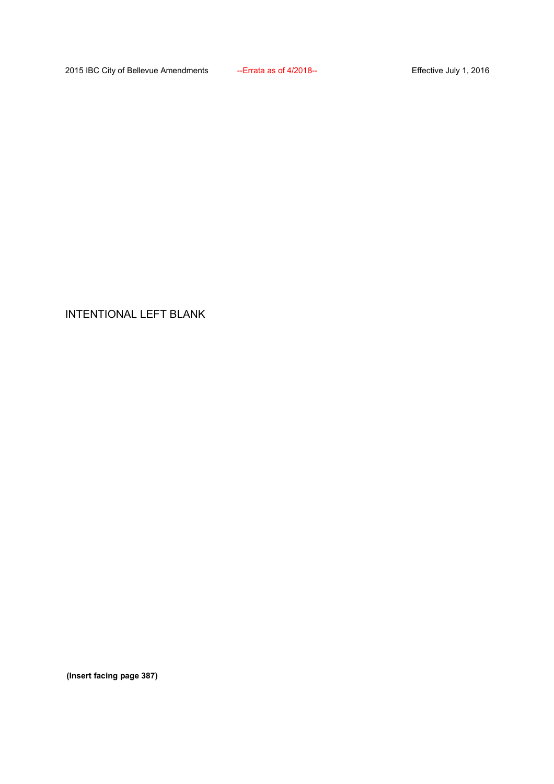2015 IBC City of Bellevue Amendments --Errata as of 4/2018--<br>
Effective July 1, 2016

INTENTIONAL LEFT BLANK

**(Insert facing page 387)**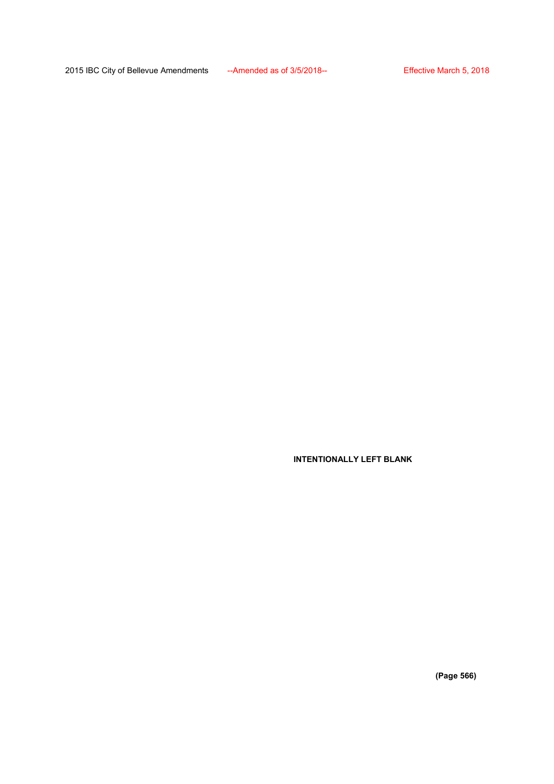# **INTENTIONALLY LEFT BLANK**

**(Page 566)**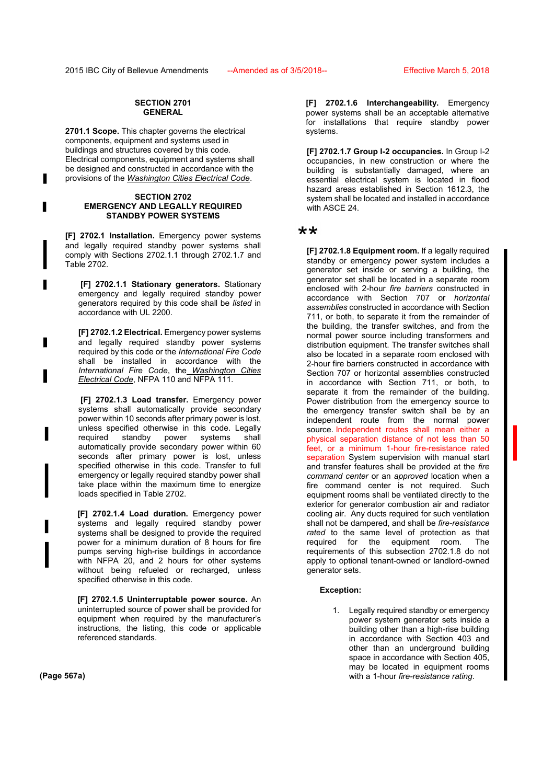#### **SECTION 2701 GENERAL**

**2701.1 Scope.** This chapter governs the electrical components, equipment and systems used in buildings and structures covered by this code. Electrical components, equipment and systems shall be designed and constructed in accordance with the provisions of the *Washington Cities Electrical Code*.

### **SECTION 2702 EMERGENCY AND LEGALLY REQUIRED STANDBY POWER SYSTEMS**

**[F] 2702.1 Installation.** Emergency power systems and legally required standby power systems shall comply with Sections 2702.1.1 through 2702.1.7 and Table 2702.

**[F] 2702.1.1 Stationary generators.** Stationary emergency and legally required standby power generators required by this code shall be *listed* in accordance with UL 2200.

**[F] 2702.1.2 Electrical.** Emergency power systems and legally required standby power systems required by this code or the *International Fire Code* shall be installed in accordance with the *International Fire Code*, the *Washington Cities Electrical Code*, NFPA 110 and NFPA 111.

**[F] 2702.1.3 Load transfer.** Emergency power systems shall automatically provide secondary power within 10 seconds after primary power is lost, unless specified otherwise in this code. Legally required standby power systems shall automatically provide secondary power within 60 seconds after primary power is lost, unless specified otherwise in this code. Transfer to full emergency or legally required standby power shall take place within the maximum time to energize loads specified in Table 2702.

**[F] 2702.1.4 Load duration.** Emergency power systems and legally required standby power systems shall be designed to provide the required power for a minimum duration of 8 hours for fire pumps serving high-rise buildings in accordance with NFPA 20, and 2 hours for other systems without being refueled or recharged, unless specified otherwise in this code.

**[F] 2702.1.5 Uninterruptable power source.** An uninterrupted source of power shall be provided for equipment when required by the manufacturer's instructions, the listing, this code or applicable referenced standards.

**[F] 2702.1.6 Interchangeability.** Emergency power systems shall be an acceptable alternative for installations that require standby power systems.

**[F] 2702.1.7 Group I-2 occupancies.** In Group I-2 occupancies, in new construction or where the building is substantially damaged, where an essential electrical system is located in flood hazard areas established in Section 1612.3, the system shall be located and installed in accordance with ASCE 24.

# \*\*

**[F] 2702.1.8 Equipment room.** If a legally required standby or emergency power system includes a generator set inside or serving a building, the generator set shall be located in a separate room enclosed with 2-hour *fire barriers* constructed in accordance with Section 707 or *horizontal assemblies* constructed in accordance with Section 711, or both, to separate it from the remainder of the building, the transfer switches, and from the normal power source including transformers and distribution equipment. The transfer switches shall also be located in a separate room enclosed with 2-hour fire barriers constructed in accordance with Section 707 or horizontal assemblies constructed in accordance with Section 711, or both, to separate it from the remainder of the building. Power distribution from the emergency source to the emergency transfer switch shall be by an independent route from the normal power source. Independent routes shall mean either a physical separation distance of not less than 50 feet, or a minimum 1-hour fire-resistance rated separation System supervision with manual start and transfer features shall be provided at the *fire command center* or an *approved* location when a fire command center is not required. Such equipment rooms shall be ventilated directly to the exterior for generator combustion air and radiator cooling air. Any ducts required for such ventilation shall not be dampered, and shall be *fire-resistance rated* to the same level of protection as that required for the equipment room. The requirements of this subsection 2702.1.8 do not apply to optional tenant-owned or landlord-owned generator sets.

#### **Exception:**

1. Legally required standby or emergency power system generator sets inside a building other than a high-rise building in accordance with Section 403 and other than an underground building space in accordance with Section 405, may be located in equipment rooms **(Page 567a)** with a 1-hour *fire-resistance rating*.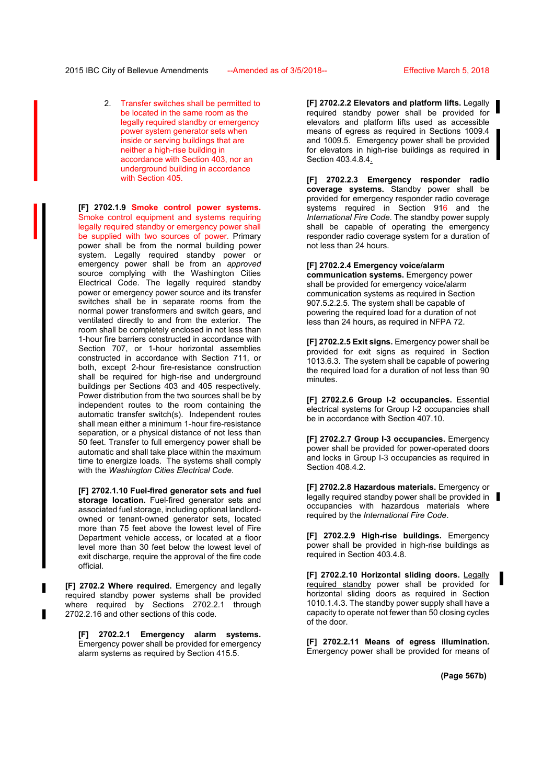2. Transfer switches shall be permitted to be located in the same room as the legally required standby or emergency power system generator sets when inside or serving buildings that are neither a high-rise building in accordance with Section 403, nor an underground building in accordance with Section 405.

**[F] 2702.1.9 Smoke control power systems.** Smoke control equipment and systems requiring legally required standby or emergency power shall be supplied with two sources of power. Primary power shall be from the normal building power system. Legally required standby power or emergency power shall be from an *approved* source complying with the Washington Cities Electrical Code. The legally required standby power or emergency power source and its transfer switches shall be in separate rooms from the normal power transformers and switch gears, and ventilated directly to and from the exterior. The room shall be completely enclosed in not less than 1-hour fire barriers constructed in accordance with Section 707, or 1-hour horizontal assemblies constructed in accordance with Section 711, or both, except 2-hour fire-resistance construction shall be required for high-rise and underground buildings per Sections 403 and 405 respectively. Power distribution from the two sources shall be by independent routes to the room containing the automatic transfer switch(s). Independent routes shall mean either a minimum 1-hour fire-resistance separation, or a physical distance of not less than 50 feet. Transfer to full emergency power shall be automatic and shall take place within the maximum time to energize loads. The systems shall comply with the *Washington Cities Electrical Code*.

**[F] 2702.1.10 Fuel-fired generator sets and fuel storage location.** Fuel-fired generator sets and associated fuel storage, including optional landlordowned or tenant-owned generator sets, located more than 75 feet above the lowest level of Fire Department vehicle access, or located at a floor level more than 30 feet below the lowest level of exit discharge, require the approval of the fire code official.

**[F] 2702.2 Where required.** Emergency and legally required standby power systems shall be provided where required by Sections 2702.2.1 through 2702.2.16 and other sections of this code.

**[F] 2702.2.1 Emergency alarm systems.** Emergency power shall be provided for emergency alarm systems as required by Section 415.5.

**[F] 2702.2.2 Elevators and platform lifts.** Legally required standby power shall be provided for elevators and platform lifts used as accessible means of egress as required in Sections 1009.4 and 1009.5. Emergency power shall be provided for elevators in high-rise buildings as required in Section 403.4.8.4.

**[F] 2702.2.3 Emergency responder radio coverage systems.** Standby power shall be provided for emergency responder radio coverage systems required in Section 916 and the *International Fire Code*. The standby power supply shall be capable of operating the emergency responder radio coverage system for a duration of not less than 24 hours.

**[F] 2702.2.4 Emergency voice/alarm**

**communication systems.** Emergency power shall be provided for emergency voice/alarm communication systems as required in Section 907.5.2.2.5. The system shall be capable of powering the required load for a duration of not less than 24 hours, as required in NFPA 72.

**[F] 2702.2.5 Exit signs.** Emergency power shall be provided for exit signs as required in Section 1013.6.3. The system shall be capable of powering the required load for a duration of not less than 90 minutes.

**[F] 2702.2.6 Group I-2 occupancies.** Essential electrical systems for Group I-2 occupancies shall be in accordance with Section 407.10.

**[F] 2702.2.7 Group I-3 occupancies.** Emergency power shall be provided for power-operated doors and locks in Group I-3 occupancies as required in Section 408.4.2.

**[F] 2702.2.8 Hazardous materials.** Emergency or legally required standby power shall be provided in occupancies with hazardous materials where required by the *International Fire Code*.

**[F] 2702.2.9 High-rise buildings.** Emergency power shall be provided in high-rise buildings as required in Section 403.4.8.

**[F] 2702.2.10 Horizontal sliding doors.** Legally required standby power shall be provided for horizontal sliding doors as required in Section 1010.1.4.3. The standby power supply shall have a capacity to operate not fewer than 50 closing cycles of the door.

**[F] 2702.2.11 Means of egress illumination.** Emergency power shall be provided for means of

**(Page 567b)**